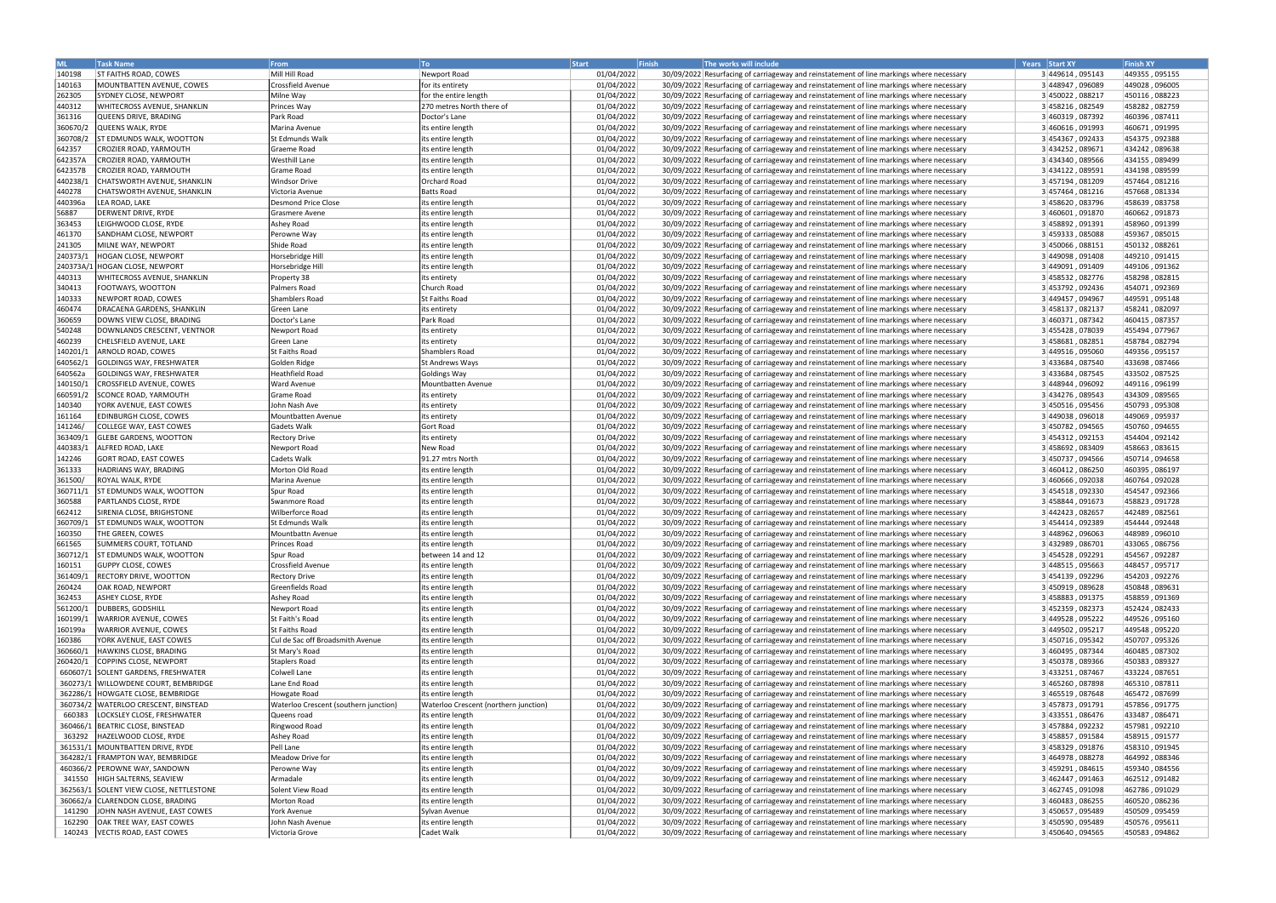| ML       | <b>Task Name</b>                       | <b>From</b>                           | To <b>T</b>                           | <b>Finish</b><br>Start | The works will include                                                                   | Years Start XY   | <b>Finish XY</b> |
|----------|----------------------------------------|---------------------------------------|---------------------------------------|------------------------|------------------------------------------------------------------------------------------|------------------|------------------|
| 140198   | <b>ST FAITHS ROAD, COWES</b>           | Mill Hill Road                        | Newport Road                          | 01/04/2022             | 30/09/2022 Resurfacing of carriageway and reinstatement of line markings where necessary | 3 449614, 095143 | 449355,095155    |
| 140163   | MOUNTBATTEN AVENUE, COWES              | Crossfield Avenue                     | for its entirety                      | 01/04/2022             | 30/09/2022 Resurfacing of carriageway and reinstatement of line markings where necessary | 3448947,096089   | 449028,096005    |
| 262305   | SYDNEY CLOSE, NEWPORT                  | Milne Way                             | for the entire length                 | 01/04/2022             | 30/09/2022 Resurfacing of carriageway and reinstatement of line markings where necessary | 3 450022, 088217 | 450116,088223    |
| 440312   | WHITECROSS AVENUE, SHANKLIN            | Princes Way                           | 270 metres North there of             | 01/04/2022             | 30/09/2022 Resurfacing of carriageway and reinstatement of line markings where necessary | 3 458216, 082549 | 458282,082759    |
| 361316   | QUEENS DRIVE, BRADING                  | Park Road                             | Doctor's Lane                         | 01/04/2022             | 30/09/2022 Resurfacing of carriageway and reinstatement of line markings where necessary | 3 460319, 087392 | 460396.087411    |
| 360670/2 | QUEENS WALK. RYDE                      | Marina Avenue                         |                                       |                        | 30/09/2022 Resurfacing of carriageway and reinstatement of line markings where necessary |                  | 460671.091995    |
|          |                                        |                                       | its entire length                     | 01/04/2022             |                                                                                          | 3 460616, 091993 |                  |
| 360708/2 | ST EDMUNDS WALK, WOOTTON               | St Edmunds Walk                       | its entire length                     | 01/04/2022             | 30/09/2022 Resurfacing of carriageway and reinstatement of line markings where necessary | 3 454367, 092433 | 454375,092388    |
| 642357   | CROZIER ROAD, YARMOUTH                 | Graeme Road                           | its entire length                     | 01/04/2022             | 30/09/2022 Resurfacing of carriageway and reinstatement of line markings where necessary | 3 434252, 089671 | 434242,089638    |
| 642357A  | CROZIER ROAD, YARMOUTH                 | <b>Westhill Lane</b>                  | its entire length                     | 01/04/2022             | 30/09/2022 Resurfacing of carriageway and reinstatement of line markings where necessary | 3 434340, 089566 | 434155,089499    |
| 642357B  | CROZIER ROAD, YARMOUTH                 | Grame Road                            | its entire length                     | 01/04/2022             | 30/09/2022 Resurfacing of carriageway and reinstatement of line markings where necessary | 3434122,089591   | 434198,089599    |
| 440238/  | CHATSWORTH AVENUE, SHANKLIN            | <b>Windsor Drive</b>                  | Orchard Road                          | 01/04/2022             | 30/09/2022 Resurfacing of carriageway and reinstatement of line markings where necessary | 3 457194, 081209 | 457464,081216    |
| 440278   | CHATSWORTH AVENUE, SHANKLIN            | Victoria Avenue                       | <b>Batts Road</b>                     | 01/04/2022             | 30/09/2022 Resurfacing of carriageway and reinstatement of line markings where necessary | 3 457464, 081216 | 457668,081334    |
| 440396a  | LEA ROAD, LAKE                         | <b>Desmond Price Close</b>            | its entire length                     | 01/04/2022             | 30/09/2022 Resurfacing of carriageway and reinstatement of line markings where necessary | 3 458620, 083796 | 458639,083758    |
| 56887    | DERWENT DRIVE, RYDE                    | <b>Grasmere Avene</b>                 | its entire length                     | 01/04/2022             | 30/09/2022 Resurfacing of carriageway and reinstatement of line markings where necessary | 3 460601, 091870 | 460662, 091873   |
| 363453   | LEIGHWOOD CLOSE, RYDE                  | Ashey Road                            | its entire length                     | 01/04/2022             | 30/09/2022 Resurfacing of carriageway and reinstatement of line markings where necessary | 3458892,091391   | 458960,091399    |
| 461370   | SANDHAM CLOSE, NEWPORT                 | Perowne Way                           | its entire length                     | 01/04/2022             | 30/09/2022 Resurfacing of carriageway and reinstatement of line markings where necessary | 3459333,085088   | 459367,085015    |
| 241305   | MILNE WAY, NEWPORT                     | Shide Road                            | its entire length                     | 01/04/2022             | 30/09/2022 Resurfacing of carriageway and reinstatement of line markings where necessary | 3 450066, 088151 | 450132,088261    |
| 240373/1 | HOGAN CLOSE, NEWPORT                   | Horsebridge Hill                      | its entire length                     | 01/04/2022             | 30/09/2022 Resurfacing of carriageway and reinstatement of line markings where necessary | 3 449098, 091408 | 449210,091415    |
|          | 240373A/1 HOGAN CLOSE, NEWPORT         | Horsebridge Hill                      | its entire length                     | 01/04/2022             | 30/09/2022 Resurfacing of carriageway and reinstatement of line markings where necessary | 3 449091, 091409 | 449106, 091362   |
|          |                                        |                                       |                                       |                        | 30/09/2022 Resurfacing of carriageway and reinstatement of line markings where necessary |                  |                  |
| 440313   | WHITECROSS AVENUE, SHANKLIN            | Property 38                           | its entirety                          | 01/04/2022             |                                                                                          | 3 458532, 082776 | 458298,082815    |
| 340413   | FOOTWAYS, WOOTTON                      | Palmers Road                          | Church Road                           | 01/04/2022             | 30/09/2022 Resurfacing of carriageway and reinstatement of line markings where necessary | 3453792,092436   | 454071,092369    |
| 140333   | NEWPORT ROAD, COWES                    | Shamblers Road                        | St Faiths Road                        | 01/04/2022             | 30/09/2022 Resurfacing of carriageway and reinstatement of line markings where necessary | 3 449457, 094967 | 449591,095148    |
| 460474   | DRACAENA GARDENS, SHANKLIN             | Green Lane                            | its entirety                          | 01/04/2022             | 30/09/2022 Resurfacing of carriageway and reinstatement of line markings where necessary | 3 458137, 082137 | 458241,082097    |
| 360659   | DOWNS VIEW CLOSE. BRADING              | Doctor's Lane                         | Park Road                             | 01/04/2022             | 30/09/2022 Resurfacing of carriageway and reinstatement of line markings where necessary | 3 460371, 087342 | 460415, 087357   |
| 540248   | DOWNLANDS CRESCENT, VENTNOR            | Newport Road                          | its entirety                          | 01/04/2022             | 30/09/2022 Resurfacing of carriageway and reinstatement of line markings where necessary | 3455428,078039   | 455494,077967    |
| 460239   | CHELSFIELD AVENUE, LAKE                | Green Lane                            | its entirety                          | 01/04/2022             | 30/09/2022 Resurfacing of carriageway and reinstatement of line markings where necessary | 3 458681, 082851 | 458784,082794    |
| 140201/1 | ARNOLD ROAD, COWES                     | <b>St Faiths Road</b>                 | Shamblers Road                        | 01/04/2022             | 30/09/2022 Resurfacing of carriageway and reinstatement of line markings where necessary | 3449516,095060   | 449356,095157    |
| 640562/1 | <b>GOLDINGS WAY, FRESHWATER</b>        | Golden Ridge                          | <b>St Andrews Ways</b>                | 01/04/2022             | 30/09/2022 Resurfacing of carriageway and reinstatement of line markings where necessary | 3 433684, 087540 | 433698, 087466   |
| 640562a  | GOLDINGS WAY, FRESHWATER               | <b>Heathfield Road</b>                | Goldings Way                          | 01/04/2022             | 30/09/2022 Resurfacing of carriageway and reinstatement of line markings where necessary | 3 433684, 087545 | 433502,087525    |
| 140150/1 | <b>CROSSFIELD AVENUE, COWES</b>        | <b>Ward Avenue</b>                    | Mountbatten Avenue                    | 01/04/2022             | 30/09/2022 Resurfacing of carriageway and reinstatement of line markings where necessary | 3 448944,096092  | 449116, 096199   |
| 660591/2 | SCONCE ROAD, YARMOUTH                  | Grame Road                            | its entirety                          | 01/04/2022             | 30/09/2022 Resurfacing of carriageway and reinstatement of line markings where necessary | 3434276,089543   | 434309,089565    |
| 140340   | YORK AVENUE, EAST COWES                | John Nash Ave                         |                                       | 01/04/2022             | 30/09/2022 Resurfacing of carriageway and reinstatement of line markings where necessary | 3 450516, 095456 | 450793,095308    |
|          |                                        |                                       | its entirety                          |                        |                                                                                          |                  |                  |
| 161164   | EDINBURGH CLOSE, COWES                 | Mountbatten Avenue                    | its entirety                          | 01/04/2022             | 30/09/2022 Resurfacing of carriageway and reinstatement of line markings where necessary | 3 449038,096018  | 449069,095937    |
| 141246/  | COLLEGE WAY, EAST COWES                | Gadets Walk                           | Gort Road                             | 01/04/2022             | 30/09/2022 Resurfacing of carriageway and reinstatement of line markings where necessary | 3 450782, 094565 | 450760,094655    |
| 363409/1 | <b>GLEBE GARDENS, WOOTTON</b>          | <b>Rectory Drive</b>                  | its entirety                          | 01/04/2022             | 30/09/2022 Resurfacing of carriageway and reinstatement of line markings where necessary | 3 454312, 092153 | 454404,092142    |
| 440383/1 | ALFRED ROAD, LAKE                      | Newport Road                          | New Road                              | 01/04/2022             | 30/09/2022 Resurfacing of carriageway and reinstatement of line markings where necessary | 3 458692, 083409 | 458663,083615    |
| 142246   | <b>GORT ROAD, EAST COWES</b>           | Cadets Walk                           | 91.27 mtrs North                      | 01/04/2022             | 30/09/2022 Resurfacing of carriageway and reinstatement of line markings where necessary | 3 450737, 094566 | 450714,094658    |
| 361333   | HADRIANS WAY, BRADING                  | Morton Old Road                       | its entire length                     | 01/04/2022             | 30/09/2022 Resurfacing of carriageway and reinstatement of line markings where necessary | 3 460412, 086250 | 460395,086197    |
| 361500/  | ROYAL WALK, RYDE                       | Marina Avenue                         | its entire length                     | 01/04/2022             | 30/09/2022 Resurfacing of carriageway and reinstatement of line markings where necessary | 3 460666, 092038 | 460764,092028    |
| 360711/1 | ST EDMUNDS WALK, WOOTTON               | Spur Road                             | its entire length                     | 01/04/2022             | 30/09/2022 Resurfacing of carriageway and reinstatement of line markings where necessary | 3 454518, 092330 | 454547,092366    |
| 360588   | PARTLANDS CLOSE, RYDE                  | Swanmore Road                         | its entire length                     | 01/04/2022             | 30/09/2022 Resurfacing of carriageway and reinstatement of line markings where necessary | 3 458844, 091673 | 458823,091728    |
| 662412   | SIRENIA CLOSE, BRIGHSTONE              | Wilberforce Road                      | its entire length                     | 01/04/2022             | 30/09/2022 Resurfacing of carriageway and reinstatement of line markings where necessary | 3442423,082657   | 442489,082561    |
|          |                                        | St Edmunds Walk                       |                                       |                        |                                                                                          |                  |                  |
| 360709/1 | ST EDMUNDS WALK, WOOTTON               |                                       | its entire length                     | 01/04/2022             | 30/09/2022 Resurfacing of carriageway and reinstatement of line markings where necessary | 3 454414, 092389 | 454444,092448    |
| 160350   | THE GREEN. COWES                       | Mountbattn Avenue                     | its entire length                     | 01/04/2022             | 30/09/2022 Resurfacing of carriageway and reinstatement of line markings where necessary | 3448962,096063   | 448989,096010    |
| 661565   | SUMMERS COURT, TOTLAND                 | Princes Road                          | its entire length                     | 01/04/2022             | 30/09/2022 Resurfacing of carriageway and reinstatement of line markings where necessary | 3 432989, 086701 | 433065, 086756   |
| 360712/1 | <b>ST EDMUNDS WALK, WOOTTON</b>        | Spur Road                             | between 14 and 12                     | 01/04/2022             | 30/09/2022 Resurfacing of carriageway and reinstatement of line markings where necessary | 3454528,092291   | 454567,092287    |
| 160151   | <b>GUPPY CLOSE, COWES</b>              | Crossfield Avenue                     | its entire length                     | 01/04/2022             | 30/09/2022 Resurfacing of carriageway and reinstatement of line markings where necessary | 3 448515, 095663 | 448457,095717    |
| 361409/1 | <b>RECTORY DRIVE, WOOTTON</b>          | <b>Rectory Drive</b>                  | its entire length                     | 01/04/2022             | 30/09/2022 Resurfacing of carriageway and reinstatement of line markings where necessary | 3454139,092296   | 454203,092276    |
| 260424   | OAK ROAD, NEWPORT                      | Greenfields Road                      | its entire length                     | 01/04/2022             | 30/09/2022 Resurfacing of carriageway and reinstatement of line markings where necessary | 3 450919, 089628 | 450848,089631    |
| 362453   | ASHEY CLOSE, RYDE                      | Ashey Road                            | its entire length                     | 01/04/2022             | 30/09/2022 Resurfacing of carriageway and reinstatement of line markings where necessary | 3 458883, 091375 | 458859,091369    |
| 561200/1 | <b>DUBBERS, GODSHILL</b>               | Newport Road                          | its entire length                     | 01/04/2022             | 30/09/2022 Resurfacing of carriageway and reinstatement of line markings where necessary | 3452359,082373   | 452424,082433    |
| 160199/1 | WARRIOR AVENUE, COWES                  | St Faith's Road                       | its entire length                     | 01/04/2022             | 30/09/2022 Resurfacing of carriageway and reinstatement of line markings where necessary | 3449528,095222   | 449526,095160    |
| 160199a  | WARRIOR AVENUE, COWES                  | St Faiths Road                        | its entire length                     | 01/04/2022             | 30/09/2022 Resurfacing of carriageway and reinstatement of line markings where necessary | 3449502,095217   | 449548,095220    |
| 160386   | YORK AVENUE, EAST COWES                | Cul de Sac off Broadsmith Avenue      | its entire length                     | 01/04/2022             | 30/09/2022 Resurfacing of carriageway and reinstatement of line markings where necessary | 3 450716, 095342 | 450707,095326    |
| 360660/1 | HAWKINS CLOSE, BRADING                 | St Mary's Road                        | its entire length                     | 01/04/2022             | 30/09/2022 Resurfacing of carriageway and reinstatement of line markings where necessary | 3460495,087344   | 460485,087302    |
| 260420/1 | COPPINS CLOSE, NEWPORT                 | <b>Staplers Road</b>                  | its entire length                     | 01/04/2022             | 30/09/2022 Resurfacing of carriageway and reinstatement of line markings where necessary | 3 450378, 089366 | 450383,089327    |
| 660607/1 | SOLENT GARDENS, FRESHWATER             | Colwell Lane                          | its entire length                     | 01/04/2022             | 30/09/2022 Resurfacing of carriageway and reinstatement of line markings where necessary | 3 433251, 087467 |                  |
|          |                                        |                                       |                                       |                        |                                                                                          |                  | 433224,087651    |
| 360273/1 | <b>WILLOWDENE COURT, BEMBRIDGE</b>     | Lane End Road                         | its entire length                     | 01/04/2022             | 30/09/2022 Resurfacing of carriageway and reinstatement of line markings where necessary | 3465260,087898   | 465310, 087811   |
| 362286/1 | HOWGATE CLOSE, BEMBRIDGE               | Howgate Road                          | its entire length                     | 01/04/2022             | 30/09/2022 Resurfacing of carriageway and reinstatement of line markings where necessary | 3 465519, 087648 | 465472,087699    |
|          | 360734/2   WATERLOO CRESCENT, BINSTEAD | Waterloo Crescent (southern junction) | Waterloo Crescent (northern junction) | 01/04/2022             | 30/09/2022 Resurfacing of carriageway and reinstatement of line markings where necessary | 3457873,091791   | 457856,091775    |
| 660383   | LOCKSLEY CLOSE, FRESHWATER             | Queens road                           | its entire length                     | 01/04/2022             | 30/09/2022 Resurfacing of carriageway and reinstatement of line markings where necessary | 3 433551, 086476 | 433487,086471    |
| 360466/1 | BEATRIC CLOSE, BINSTEAD                | Ringwood Road                         | its entire length                     | 01/04/2022             | 30/09/2022 Resurfacing of carriageway and reinstatement of line markings where necessary | 3457884,092232   | 457981,092210    |
| 363292   | HAZELWOOD CLOSE, RYDE                  | Ashey Road                            | its entire length                     | 01/04/2022             | 30/09/2022 Resurfacing of carriageway and reinstatement of line markings where necessary | 3 458857, 091584 | 458915, 091577   |
| 361531/1 | MOUNTBATTEN DRIVE, RYDE                | Pell Lane                             | its entire length                     | 01/04/2022             | 30/09/2022 Resurfacing of carriageway and reinstatement of line markings where necessary | 3 458329, 091876 | 458310,091945    |
| 364282/1 | <b>FRAMPTON WAY, BEMBRIDGE</b>         | Meadow Drive for                      | its entire length                     | 01/04/2022             | 30/09/2022 Resurfacing of carriageway and reinstatement of line markings where necessary | 3464978,088278   | 464992,088346    |
|          | 460366/2   PEROWNE WAY, SANDOWN        | Perowne Way                           | its entire length                     | 01/04/2022             | 30/09/2022 Resurfacing of carriageway and reinstatement of line markings where necessary | 3 459291, 084615 | 459340, 084556   |
| 341550   | HIGH SALTERNS, SEAVIEW                 | Armadale                              | its entire length                     | 01/04/2022             | 30/09/2022 Resurfacing of carriageway and reinstatement of line markings where necessary | 3 462447, 091463 | 462512,091482    |
| 362563/1 | SOLENT VIEW CLOSE, NETTLESTONE         | Solent View Road                      | its entire length                     | 01/04/2022             | 30/09/2022 Resurfacing of carriageway and reinstatement of line markings where necessary | 3 462745,091098  | 462786,091029    |
|          | 360662/a CLARENDON CLOSE, BRADING      | Morton Road                           | its entire length                     | 01/04/2022             | 30/09/2022 Resurfacing of carriageway and reinstatement of line markings where necessary | 3460483,086255   | 460520,086236    |
|          |                                        |                                       |                                       |                        |                                                                                          |                  |                  |
| 141290   | JOHN NASH AVENUE, EAST COWES           | York Avenue                           | Sylvan Avenue                         | 01/04/2022             | 30/09/2022 Resurfacing of carriageway and reinstatement of line markings where necessary | 3 450657, 095489 | 450509,095459    |
| 162290   | OAK TREE WAY, EAST COWES               | John Nash Avenue                      | its entire length                     | 01/04/2022             | 30/09/2022 Resurfacing of carriageway and reinstatement of line markings where necessary | 3 450590, 095489 | 450576,095611    |
| 140243   | VECTIS ROAD, EAST COWES                | Victoria Grove                        | Cadet Walk                            | 01/04/2022             | 30/09/2022 Resurfacing of carriageway and reinstatement of line markings where necessary | 3 450640,094565  | 450583,094862    |